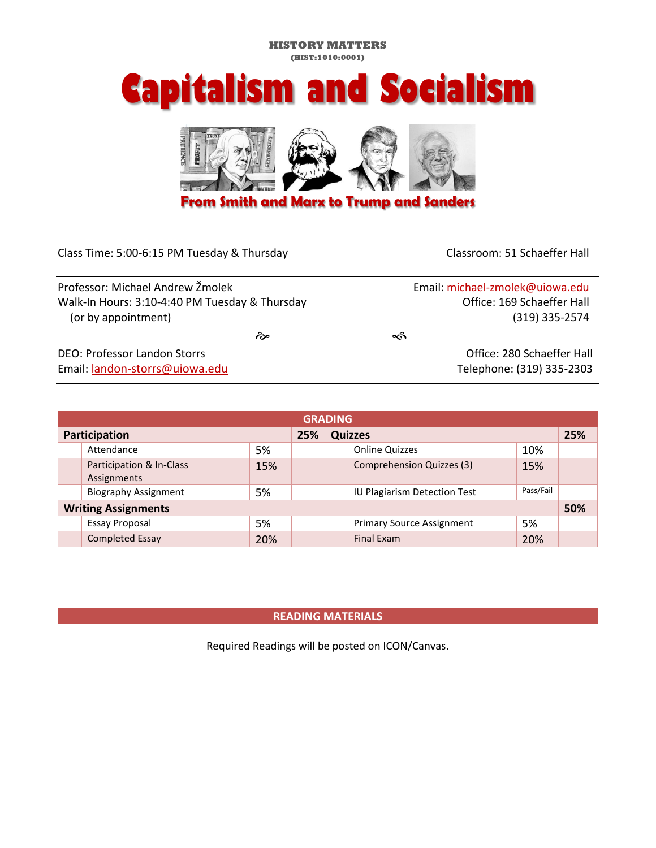#### **HISTORY MATTERS (HIST:1010:0001)**

# **Capitalism and Socialism**



## **From Smith and Marx to Trump and Sanders**

| Class Time: 5:00-6:15 PM Tuesday & Thursday    | Classroom: 51 Schaeffer Hall    |
|------------------------------------------------|---------------------------------|
| Professor: Michael Andrew Žmolek               | Email: michael-zmolek@uiowa.edu |
| Walk-In Hours: 3:10-4:40 PM Tuesday & Thursday | Office: 169 Schaeffer Hall      |
| (or by appointment)                            | (319) 335-2574                  |
| কৈ                                             | ∽                               |
| DEO: Professor Landon Storrs                   | Office: 280 Schaeffer Hall      |
| Email: landon-storrs@uiowa.edu                 | Telephone: (319) 335-2303       |

|                            | <b>GRADING</b>                          |     |     |  |                                  |           |     |  |  |  |
|----------------------------|-----------------------------------------|-----|-----|--|----------------------------------|-----------|-----|--|--|--|
| Participation              |                                         |     | 25% |  | <b>Quizzes</b>                   |           |     |  |  |  |
|                            | Attendance                              | 5%  |     |  | <b>Online Quizzes</b>            | 10%       |     |  |  |  |
|                            | Participation & In-Class<br>Assignments | 15% |     |  | <b>Comprehension Quizzes (3)</b> | 15%       |     |  |  |  |
|                            | <b>Biography Assignment</b>             | 5%  |     |  | IU Plagiarism Detection Test     | Pass/Fail |     |  |  |  |
| <b>Writing Assignments</b> |                                         |     |     |  |                                  |           | 50% |  |  |  |
|                            | <b>Essay Proposal</b>                   | 5%  |     |  | <b>Primary Source Assignment</b> | 5%        |     |  |  |  |
|                            | <b>Completed Essay</b>                  | 20% |     |  | Final Exam                       | 20%       |     |  |  |  |

**READING MATERIALS**

Required Readings will be posted on ICON/Canvas.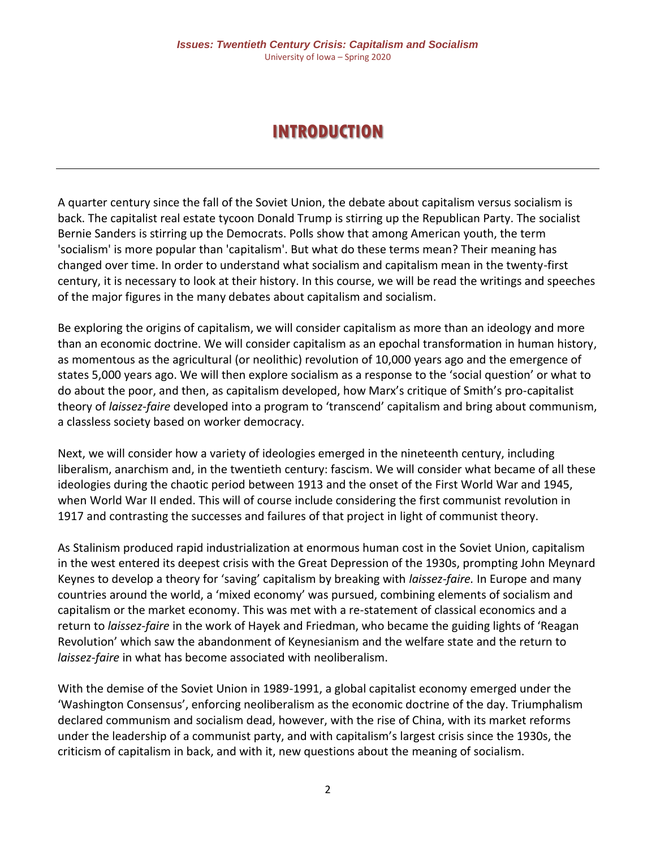# **INTRODUCTION**

A quarter century since the fall of the Soviet Union, the debate about capitalism versus socialism is back. The capitalist real estate tycoon Donald Trump is stirring up the Republican Party. The socialist Bernie Sanders is stirring up the Democrats. Polls show that among American youth, the term 'socialism' is more popular than 'capitalism'. But what do these terms mean? Their meaning has changed over time. In order to understand what socialism and capitalism mean in the twenty-first century, it is necessary to look at their history. In this course, we will be read the writings and speeches of the major figures in the many debates about capitalism and socialism.

Be exploring the origins of capitalism, we will consider capitalism as more than an ideology and more than an economic doctrine. We will consider capitalism as an epochal transformation in human history, as momentous as the agricultural (or neolithic) revolution of 10,000 years ago and the emergence of states 5,000 years ago. We will then explore socialism as a response to the 'social question' or what to do about the poor, and then, as capitalism developed, how Marx's critique of Smith's pro-capitalist theory of *laissez-faire* developed into a program to 'transcend' capitalism and bring about communism, a classless society based on worker democracy.

Next, we will consider how a variety of ideologies emerged in the nineteenth century, including liberalism, anarchism and, in the twentieth century: fascism. We will consider what became of all these ideologies during the chaotic period between 1913 and the onset of the First World War and 1945, when World War II ended. This will of course include considering the first communist revolution in 1917 and contrasting the successes and failures of that project in light of communist theory.

As Stalinism produced rapid industrialization at enormous human cost in the Soviet Union, capitalism in the west entered its deepest crisis with the Great Depression of the 1930s, prompting John Meynard Keynes to develop a theory for 'saving' capitalism by breaking with *laissez-faire.* In Europe and many countries around the world, a 'mixed economy' was pursued, combining elements of socialism and capitalism or the market economy. This was met with a re-statement of classical economics and a return to *laissez-faire* in the work of Hayek and Friedman, who became the guiding lights of 'Reagan Revolution' which saw the abandonment of Keynesianism and the welfare state and the return to *laissez-faire* in what has become associated with neoliberalism.

With the demise of the Soviet Union in 1989-1991, a global capitalist economy emerged under the 'Washington Consensus', enforcing neoliberalism as the economic doctrine of the day. Triumphalism declared communism and socialism dead, however, with the rise of China, with its market reforms under the leadership of a communist party, and with capitalism's largest crisis since the 1930s, the criticism of capitalism in back, and with it, new questions about the meaning of socialism.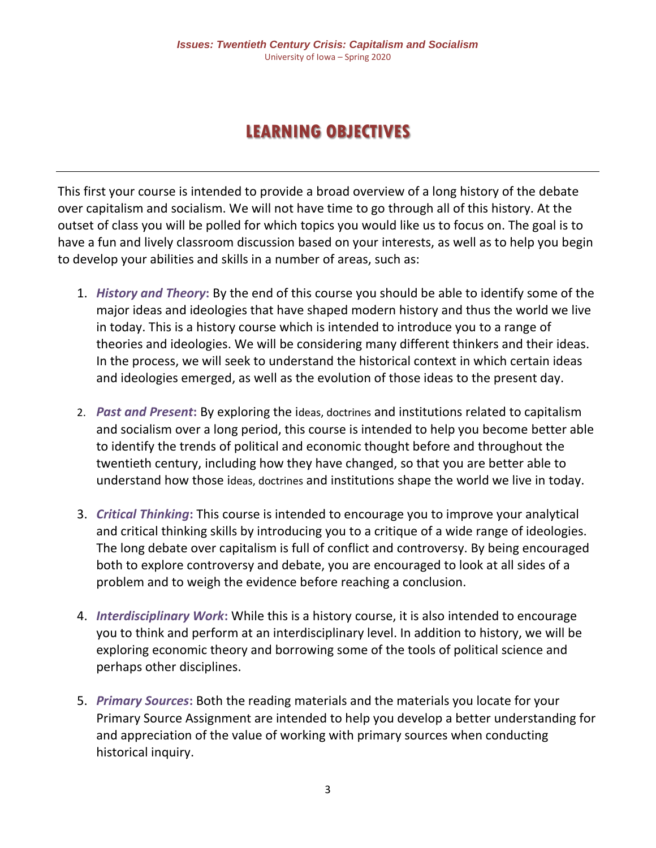# **LEARNING OBJECTIVES**

This first your course is intended to provide a broad overview of a long history of the debate over capitalism and socialism. We will not have time to go through all of this history. At the outset of class you will be polled for which topics you would like us to focus on. The goal is to have a fun and lively classroom discussion based on your interests, as well as to help you begin to develop your abilities and skills in a number of areas, such as:

- 1. *History and Theory***:** By the end of this course you should be able to identify some of the major ideas and ideologies that have shaped modern history and thus the world we live in today. This is a history course which is intended to introduce you to a range of theories and ideologies. We will be considering many different thinkers and their ideas. In the process, we will seek to understand the historical context in which certain ideas and ideologies emerged, as well as the evolution of those ideas to the present day.
- 2. *Past and Present***:** By exploring the ideas, doctrines and institutions related to capitalism and socialism over a long period, this course is intended to help you become better able to identify the trends of political and economic thought before and throughout the twentieth century, including how they have changed, so that you are better able to understand how those ideas, doctrines and institutions shape the world we live in today.
- 3. *Critical Thinking***:** This course is intended to encourage you to improve your analytical and critical thinking skills by introducing you to a critique of a wide range of ideologies. The long debate over capitalism is full of conflict and controversy. By being encouraged both to explore controversy and debate, you are encouraged to look at all sides of a problem and to weigh the evidence before reaching a conclusion.
- 4. *Interdisciplinary Work***:** While this is a history course, it is also intended to encourage you to think and perform at an interdisciplinary level. In addition to history, we will be exploring economic theory and borrowing some of the tools of political science and perhaps other disciplines.
- 5. *Primary Sources***:** Both the reading materials and the materials you locate for your Primary Source Assignment are intended to help you develop a better understanding for and appreciation of the value of working with primary sources when conducting historical inquiry.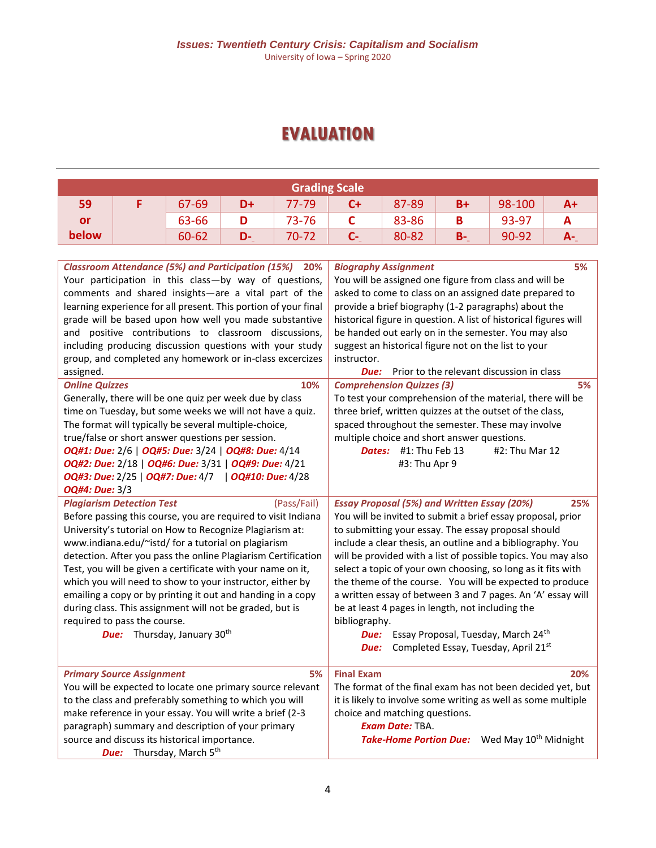# **EVALUATION**

| <b>Grading Scale</b> |  |       |    |       |    |       |       |        |    |  |
|----------------------|--|-------|----|-------|----|-------|-------|--------|----|--|
| 59                   |  | 67-69 | D+ | 77-79 | C+ | 87-89 | $B+$  | 98-100 | A+ |  |
| or                   |  | 63-66 |    | 73-76 |    | 83-86 | B     | 93-97  |    |  |
| below                |  | 60-62 | D- | 70-72 | C- | 80-82 | $B -$ | 90-92  | А- |  |

| <b>Classroom Attendance (5%) and Participation (15%) 20%</b><br>Your participation in this class-by way of questions,<br>comments and shared insights-are a vital part of the<br>learning experience for all present. This portion of your final<br>grade will be based upon how well you made substantive<br>and positive contributions to classroom discussions,<br>including producing discussion questions with your study<br>group, and completed any homework or in-class excercizes<br>assigned.                                                                                                                                   | 5%<br><b>Biography Assignment</b><br>You will be assigned one figure from class and will be<br>asked to come to class on an assigned date prepared to<br>provide a brief biography (1-2 paragraphs) about the<br>historical figure in question. A list of historical figures will<br>be handed out early on in the semester. You may also<br>suggest an historical figure not on the list to your<br>instructor.<br>Prior to the relevant discussion in class<br>Due:                                                                                                                                                                                                         |
|-------------------------------------------------------------------------------------------------------------------------------------------------------------------------------------------------------------------------------------------------------------------------------------------------------------------------------------------------------------------------------------------------------------------------------------------------------------------------------------------------------------------------------------------------------------------------------------------------------------------------------------------|-------------------------------------------------------------------------------------------------------------------------------------------------------------------------------------------------------------------------------------------------------------------------------------------------------------------------------------------------------------------------------------------------------------------------------------------------------------------------------------------------------------------------------------------------------------------------------------------------------------------------------------------------------------------------------|
| 10%<br><b>Online Quizzes</b><br>Generally, there will be one quiz per week due by class<br>time on Tuesday, but some weeks we will not have a quiz.<br>The format will typically be several multiple-choice,<br>true/false or short answer questions per session.<br>OQ#1: Due: 2/6   OQ#5: Due: 3/24   OQ#8: Due: 4/14<br>OQ#2: Due: 2/18   OQ#6: Due: 3/31   OQ#9: Due: 4/21<br>OQ#3: Due: 2/25   OQ#7: Due: 4/7   OQ#10: Due: 4/28<br>OQ#4: Due: 3/3                                                                                                                                                                                   | <b>Comprehension Quizzes (3)</b><br>5%<br>To test your comprehension of the material, there will be<br>three brief, written quizzes at the outset of the class,<br>spaced throughout the semester. These may involve<br>multiple choice and short answer questions.<br>Dates: #1: Thu Feb 13<br>#2: Thu Mar 12<br>#3: Thu Apr 9                                                                                                                                                                                                                                                                                                                                               |
| <b>Plagiarism Detection Test</b><br>(Pass/Fail)<br>Before passing this course, you are required to visit Indiana<br>University's tutorial on How to Recognize Plagiarism at:<br>www.indiana.edu/~istd/ for a tutorial on plagiarism<br>detection. After you pass the online Plagiarism Certification<br>Test, you will be given a certificate with your name on it,<br>which you will need to show to your instructor, either by<br>emailing a copy or by printing it out and handing in a copy<br>during class. This assignment will not be graded, but is<br>required to pass the course.<br>Thursday, January 30 <sup>th</sup><br>Due: | <b>Essay Proposal (5%) and Written Essay (20%)</b><br>25%<br>You will be invited to submit a brief essay proposal, prior<br>to submitting your essay. The essay proposal should<br>include a clear thesis, an outline and a bibliography. You<br>will be provided with a list of possible topics. You may also<br>select a topic of your own choosing, so long as it fits with<br>the theme of the course. You will be expected to produce<br>a written essay of between 3 and 7 pages. An 'A' essay will<br>be at least 4 pages in length, not including the<br>bibliography.<br>Essay Proposal, Tuesday, March 24th<br>Due:<br>Completed Essay, Tuesday, April 21st<br>Due: |
| 5%<br><b>Primary Source Assignment</b><br>You will be expected to locate one primary source relevant<br>to the class and preferably something to which you will<br>make reference in your essay. You will write a brief (2-3<br>paragraph) summary and description of your primary<br>source and discuss its historical importance.<br><b>Due:</b> Thursday, March 5 <sup>th</sup>                                                                                                                                                                                                                                                        | <b>Final Exam</b><br>20%<br>The format of the final exam has not been decided yet, but<br>it is likely to involve some writing as well as some multiple<br>choice and matching questions.<br><b>Exam Date: TBA.</b><br>Take-Home Portion Due: Wed May 10th Midnight                                                                                                                                                                                                                                                                                                                                                                                                           |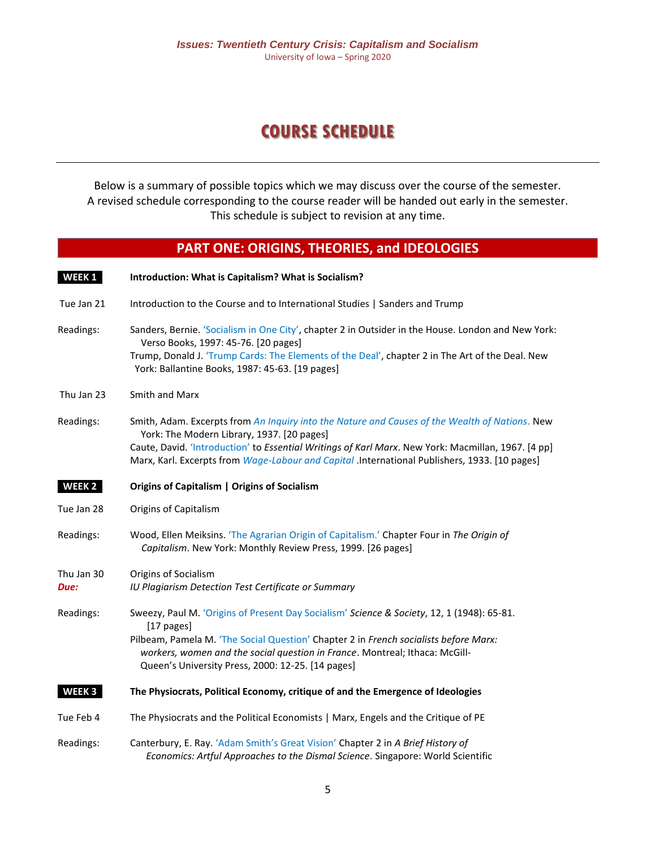# **COURSE SCHEDULE**

Below is a summary of possible topics which we may discuss over the course of the semester. A revised schedule corresponding to the course reader will be handed out early in the semester. This schedule is subject to revision at any time.

# **PART ONE: ORIGINS, THEORIES, and IDEOLOGIES**

| WEEK 1             | Introduction: What is Capitalism? What is Socialism?                                                                                                                                                                                                                                                                                                |
|--------------------|-----------------------------------------------------------------------------------------------------------------------------------------------------------------------------------------------------------------------------------------------------------------------------------------------------------------------------------------------------|
| Tue Jan 21         | Introduction to the Course and to International Studies   Sanders and Trump                                                                                                                                                                                                                                                                         |
| Readings:          | Sanders, Bernie. 'Socialism in One City', chapter 2 in Outsider in the House. London and New York:<br>Verso Books, 1997: 45-76. [20 pages]<br>Trump, Donald J. 'Trump Cards: The Elements of the Deal', chapter 2 in The Art of the Deal. New<br>York: Ballantine Books, 1987: 45-63. [19 pages]                                                    |
| Thu Jan 23         | Smith and Marx                                                                                                                                                                                                                                                                                                                                      |
| Readings:          | Smith, Adam. Excerpts from An Inquiry into the Nature and Causes of the Wealth of Nations. New<br>York: The Modern Library, 1937. [20 pages]<br>Caute, David. 'Introduction' to Essential Writings of Karl Marx. New York: Macmillan, 1967. [4 pp]<br>Marx, Karl. Excerpts from Wage-Labour and Capital .International Publishers, 1933. [10 pages] |
| <b>WEEK2</b>       | Origins of Capitalism   Origins of Socialism                                                                                                                                                                                                                                                                                                        |
| Tue Jan 28         | Origins of Capitalism                                                                                                                                                                                                                                                                                                                               |
| Readings:          | Wood, Ellen Meiksins. 'The Agrarian Origin of Capitalism.' Chapter Four in The Origin of<br>Capitalism. New York: Monthly Review Press, 1999. [26 pages]                                                                                                                                                                                            |
| Thu Jan 30<br>Due: | Origins of Socialism<br>IU Plagiarism Detection Test Certificate or Summary                                                                                                                                                                                                                                                                         |
| Readings:          | Sweezy, Paul M. 'Origins of Present Day Socialism' Science & Society, 12, 1 (1948): 65-81.<br>$[17$ pages]                                                                                                                                                                                                                                          |
|                    | Pilbeam, Pamela M. 'The Social Question' Chapter 2 in French socialists before Marx:<br>workers, women and the social question in France. Montreal; Ithaca: McGill-<br>Queen's University Press, 2000: 12-25. [14 pages]                                                                                                                            |
| WEEK <sub>3</sub>  | The Physiocrats, Political Economy, critique of and the Emergence of Ideologies                                                                                                                                                                                                                                                                     |
| Tue Feb 4          | The Physiocrats and the Political Economists   Marx, Engels and the Critique of PE                                                                                                                                                                                                                                                                  |
| Readings:          | Canterbury, E. Ray. 'Adam Smith's Great Vision' Chapter 2 in A Brief History of<br>Economics: Artful Approaches to the Dismal Science. Singapore: World Scientific                                                                                                                                                                                  |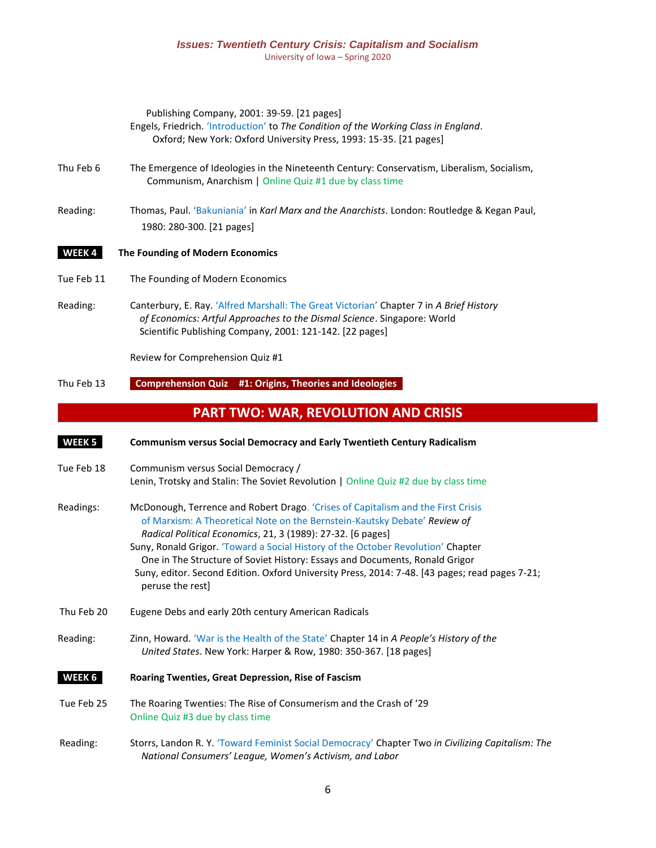#### *Issues: Twentieth Century Crisis: Capitalism and Socialism* University of Iowa – Spring 2020

|               | Publishing Company, 2001: 39-59. [21 pages]<br>Engels, Friedrich. 'Introduction' to The Condition of the Working Class in England.<br>Oxford; New York: Oxford University Press, 1993: 15-35. [21 pages]                                                                                                                                                                                                                                                                                                              |
|---------------|-----------------------------------------------------------------------------------------------------------------------------------------------------------------------------------------------------------------------------------------------------------------------------------------------------------------------------------------------------------------------------------------------------------------------------------------------------------------------------------------------------------------------|
| Thu Feb 6     | The Emergence of Ideologies in the Nineteenth Century: Conservatism, Liberalism, Socialism,<br>Communism, Anarchism   Online Quiz #1 due by class time                                                                                                                                                                                                                                                                                                                                                                |
| Reading:      | Thomas, Paul. 'Bakuniania' in Karl Marx and the Anarchists. London: Routledge & Kegan Paul,<br>1980: 280-300. [21 pages]                                                                                                                                                                                                                                                                                                                                                                                              |
| WEEK4         | The Founding of Modern Economics                                                                                                                                                                                                                                                                                                                                                                                                                                                                                      |
| Tue Feb 11    | The Founding of Modern Economics                                                                                                                                                                                                                                                                                                                                                                                                                                                                                      |
| Reading:      | Canterbury, E. Ray. 'Alfred Marshall: The Great Victorian' Chapter 7 in A Brief History<br>of Economics: Artful Approaches to the Dismal Science. Singapore: World<br>Scientific Publishing Company, 2001: 121-142. [22 pages]                                                                                                                                                                                                                                                                                        |
|               | Review for Comprehension Quiz #1                                                                                                                                                                                                                                                                                                                                                                                                                                                                                      |
| Thu Feb 13    | Comprehension Quiz #1: Origins, Theories and Ideologies                                                                                                                                                                                                                                                                                                                                                                                                                                                               |
|               | PART TWO: WAR, REVOLUTION AND CRISIS                                                                                                                                                                                                                                                                                                                                                                                                                                                                                  |
| <b>WEEK 5</b> | Communism versus Social Democracy and Early Twentieth Century Radicalism                                                                                                                                                                                                                                                                                                                                                                                                                                              |
| Tue Feb 18    | Communism versus Social Democracy /<br>Lenin, Trotsky and Stalin: The Soviet Revolution   Online Quiz #2 due by class time                                                                                                                                                                                                                                                                                                                                                                                            |
| Readings:     | McDonough, Terrence and Robert Drago. 'Crises of Capitalism and the First Crisis<br>of Marxism: A Theoretical Note on the Bernstein-Kautsky Debate' Review of<br>Radical Political Economics, 21, 3 (1989): 27-32. [6 pages]<br>Suny, Ronald Grigor. 'Toward a Social History of the October Revolution' Chapter<br>One in The Structure of Soviet History: Essays and Documents, Ronald Grigor<br>Suny, editor. Second Edition. Oxford University Press, 2014: 7-48. [43 pages; read pages 7-21;<br>peruse the rest] |
| Thu Feb 20    | Eugene Debs and early 20th century American Radicals                                                                                                                                                                                                                                                                                                                                                                                                                                                                  |
| Reading:      | Zinn, Howard. 'War is the Health of the State' Chapter 14 in A People's History of the<br>United States. New York: Harper & Row, 1980: 350-367. [18 pages]                                                                                                                                                                                                                                                                                                                                                            |
| WEEK 6        | Roaring Twenties, Great Depression, Rise of Fascism                                                                                                                                                                                                                                                                                                                                                                                                                                                                   |
| Tue Feb 25    | The Roaring Twenties: The Rise of Consumerism and the Crash of '29<br>Online Quiz #3 due by class time                                                                                                                                                                                                                                                                                                                                                                                                                |
| Reading:      | Storrs, Landon R. Y. 'Toward Feminist Social Democracy' Chapter Two in Civilizing Capitalism: The<br>National Consumers' League, Women's Activism, and Labor                                                                                                                                                                                                                                                                                                                                                          |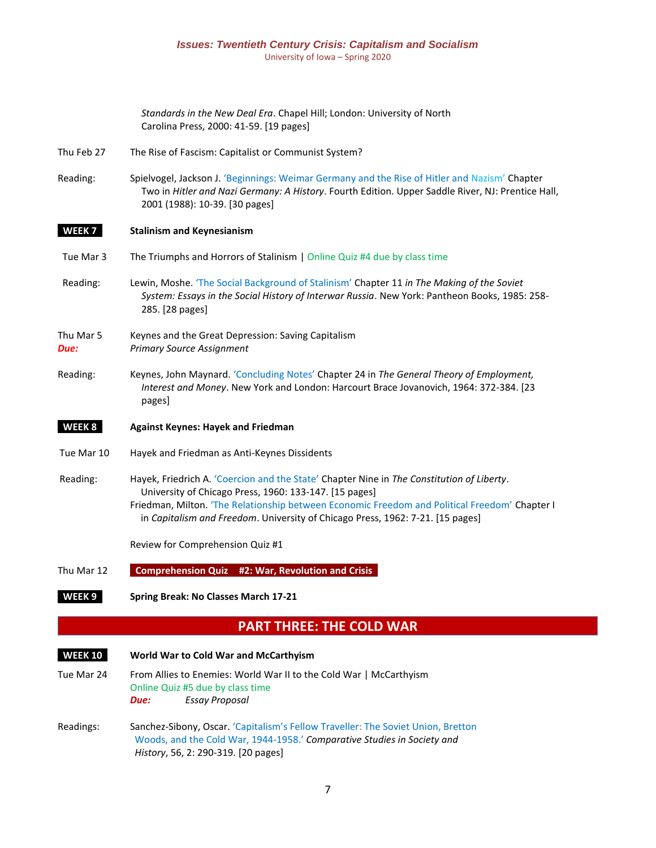## *Issues: Twentieth Century Crisis: Capitalism and Socialism*

University of Iowa – Spring 2020

|                   | Standards in the New Deal Era. Chapel Hill; London: University of North<br>Carolina Press, 2000: 41-59. [19 pages]                                                                                                                                                                                                                     |
|-------------------|----------------------------------------------------------------------------------------------------------------------------------------------------------------------------------------------------------------------------------------------------------------------------------------------------------------------------------------|
| Thu Feb 27        | The Rise of Fascism: Capitalist or Communist System?                                                                                                                                                                                                                                                                                   |
| Reading:          | Spielvogel, Jackson J. 'Beginnings: Weimar Germany and the Rise of Hitler and Nazism' Chapter<br>Two in Hitler and Nazi Germany: A History. Fourth Edition. Upper Saddle River, NJ: Prentice Hall,<br>2001 (1988): 10-39. [30 pages]                                                                                                   |
| WEEK <sub>7</sub> | <b>Stalinism and Keynesianism</b>                                                                                                                                                                                                                                                                                                      |
| Tue Mar 3         | The Triumphs and Horrors of Stalinism   Online Quiz #4 due by class time                                                                                                                                                                                                                                                               |
| Reading:          | Lewin, Moshe. 'The Social Background of Stalinism' Chapter 11 in The Making of the Soviet<br>System: Essays in the Social History of Interwar Russia. New York: Pantheon Books, 1985: 258-<br>285. [28 pages]                                                                                                                          |
| Thu Mar 5<br>Due: | Keynes and the Great Depression: Saving Capitalism<br><b>Primary Source Assignment</b>                                                                                                                                                                                                                                                 |
| Reading:          | Keynes, John Maynard. 'Concluding Notes' Chapter 24 in The General Theory of Employment,<br>Interest and Money. New York and London: Harcourt Brace Jovanovich, 1964: 372-384. [23<br>pages]                                                                                                                                           |
| WEEK 8            | <b>Against Keynes: Hayek and Friedman</b>                                                                                                                                                                                                                                                                                              |
| Tue Mar 10        | Hayek and Friedman as Anti-Keynes Dissidents                                                                                                                                                                                                                                                                                           |
| Reading:          | Hayek, Friedrich A. 'Coercion and the State' Chapter Nine in The Constitution of Liberty.<br>University of Chicago Press, 1960: 133-147. [15 pages]<br>Friedman, Milton. 'The Relationship between Economic Freedom and Political Freedom' Chapter I<br>in Capitalism and Freedom. University of Chicago Press, 1962: 7-21. [15 pages] |
|                   | Review for Comprehension Quiz #1                                                                                                                                                                                                                                                                                                       |
| Thu Mar 12        | <b>Comprehension Quiz #2: War, Revolution and Crisis</b>                                                                                                                                                                                                                                                                               |
| WEEK 9            | <b>Spring Break: No Classes March 17-21</b>                                                                                                                                                                                                                                                                                            |
|                   | <b>PART THREE: THE COLD WAR</b>                                                                                                                                                                                                                                                                                                        |
| <b>WEEK 10</b>    | World War to Cold War and McCarthyism                                                                                                                                                                                                                                                                                                  |
| Tue Mar 24        | From Allies to Enemies: World War II to the Cold War   McCarthyism<br>Online Quiz #5 due by class time<br><b>Essay Proposal</b><br>Due:                                                                                                                                                                                                |
| Readings:         | Sanchez-Sibony, Oscar. 'Capitalism's Fellow Traveller: The Soviet Union, Bretton<br>Woods, and the Cold War, 1944-1958.' Comparative Studies in Society and<br>History, 56, 2: 290-319. [20 pages]                                                                                                                                     |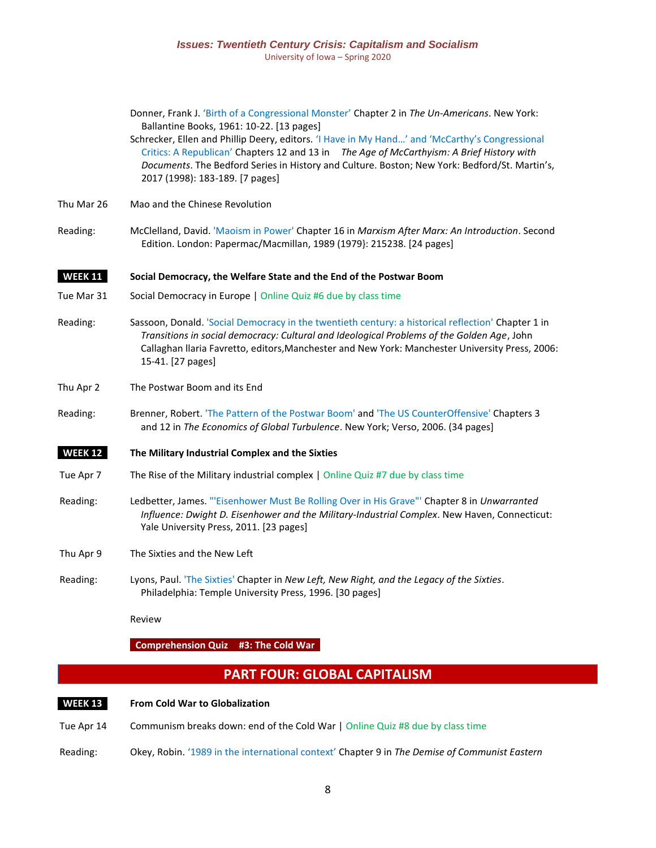|                | Donner, Frank J. 'Birth of a Congressional Monster' Chapter 2 in The Un-Americans. New York:<br>Ballantine Books, 1961: 10-22. [13 pages]                                                                                                                                                                                       |
|----------------|---------------------------------------------------------------------------------------------------------------------------------------------------------------------------------------------------------------------------------------------------------------------------------------------------------------------------------|
|                | Schrecker, Ellen and Phillip Deery, editors. 'I Have in My Hand' and 'McCarthy's Congressional<br>Critics: A Republican' Chapters 12 and 13 in The Age of McCarthyism: A Brief History with<br>Documents. The Bedford Series in History and Culture. Boston; New York: Bedford/St. Martin's,<br>2017 (1998): 183-189. [7 pages] |
| Thu Mar 26     | Mao and the Chinese Revolution                                                                                                                                                                                                                                                                                                  |
| Reading:       | McClelland, David. 'Maoism in Power' Chapter 16 in Marxism After Marx: An Introduction. Second<br>Edition. London: Papermac/Macmillan, 1989 (1979): 215238. [24 pages]                                                                                                                                                          |
| <b>WEEK 11</b> | Social Democracy, the Welfare State and the End of the Postwar Boom                                                                                                                                                                                                                                                             |
| Tue Mar 31     | Social Democracy in Europe   Online Quiz #6 due by class time                                                                                                                                                                                                                                                                   |
| Reading:       | Sassoon, Donald. 'Social Democracy in the twentieth century: a historical reflection' Chapter 1 in<br>Transitions in social democracy: Cultural and Ideological Problems of the Golden Age, John<br>Callaghan Ilaria Favretto, editors, Manchester and New York: Manchester University Press, 2006:<br>15-41. [27 pages]        |
| Thu Apr 2      | The Postwar Boom and its End                                                                                                                                                                                                                                                                                                    |
| Reading:       | Brenner, Robert. 'The Pattern of the Postwar Boom' and 'The US CounterOffensive' Chapters 3<br>and 12 in The Economics of Global Turbulence. New York; Verso, 2006. (34 pages]                                                                                                                                                  |
| <b>WEEK 12</b> | The Military Industrial Complex and the Sixties                                                                                                                                                                                                                                                                                 |
| Tue Apr 7      | The Rise of the Military industrial complex   Online Quiz #7 due by class time                                                                                                                                                                                                                                                  |
| Reading:       | Ledbetter, James. "'Eisenhower Must Be Rolling Over in His Grave"' Chapter 8 in Unwarranted<br>Influence: Dwight D. Eisenhower and the Military-Industrial Complex. New Haven, Connecticut:<br>Yale University Press, 2011. [23 pages]                                                                                          |
| Thu Apr 9      | The Sixties and the New Left                                                                                                                                                                                                                                                                                                    |
| Reading:       | Lyons, Paul. 'The Sixties' Chapter in New Left, New Right, and the Legacy of the Sixties.<br>Philadelphia: Temple University Press, 1996. [30 pages]                                                                                                                                                                            |
|                | Review                                                                                                                                                                                                                                                                                                                          |
|                | <b>Comprehension Quiz #3: The Cold War</b>                                                                                                                                                                                                                                                                                      |
|                | <b>PART FOUR: GLOBAL CAPITALISM</b>                                                                                                                                                                                                                                                                                             |
| <b>WEEK 13</b> | <b>From Cold War to Globalization</b>                                                                                                                                                                                                                                                                                           |

- Tue Apr 14 Communism breaks down: end of the Cold War | Online Quiz #8 due by class time
- Reading: Okey, Robin. '1989 in the international context' Chapter 9 in *The Demise of Communist Eastern*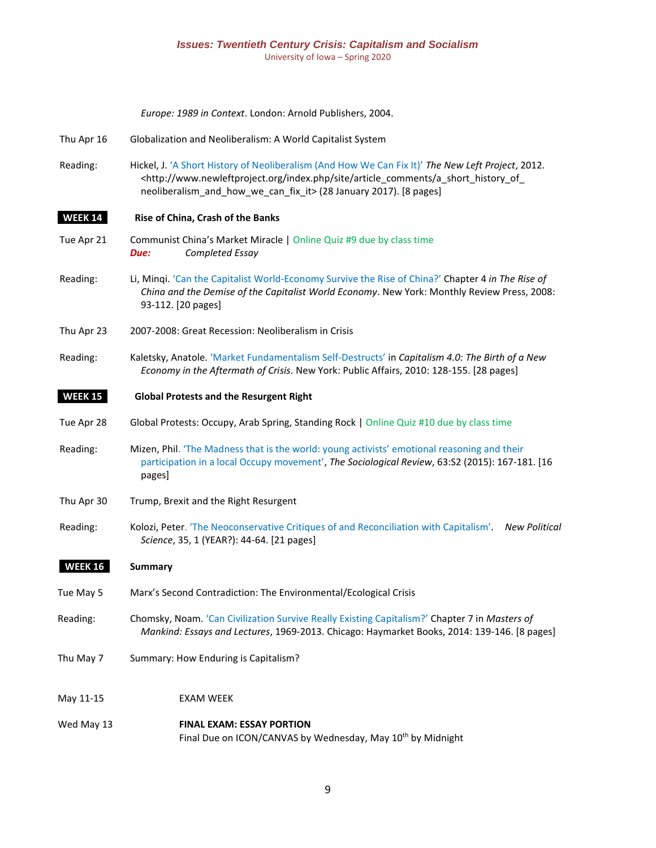|                | Europe: 1989 in Context. London: Arnold Publishers, 2004.                                                                                                                                                                                                                             |
|----------------|---------------------------------------------------------------------------------------------------------------------------------------------------------------------------------------------------------------------------------------------------------------------------------------|
| Thu Apr 16     | Globalization and Neoliberalism: A World Capitalist System                                                                                                                                                                                                                            |
| Reading:       | Hickel, J. 'A Short History of Neoliberalism (And How We Can Fix It)' The New Left Project, 2012.<br><http: a_short_history_of_<br="" article_comments="" index.php="" site="" www.newleftproject.org="">neoliberalism_and_how_we_can_fix_it&gt; (28 January 2017). [8 pages]</http:> |
| <b>WEEK 14</b> | Rise of China, Crash of the Banks                                                                                                                                                                                                                                                     |
| Tue Apr 21     | Communist China's Market Miracle   Online Quiz #9 due by class time<br>Completed Essay<br>Due:                                                                                                                                                                                        |
| Reading:       | Li, Minqi. 'Can the Capitalist World-Economy Survive the Rise of China?' Chapter 4 in The Rise of<br>China and the Demise of the Capitalist World Economy. New York: Monthly Review Press, 2008:<br>93-112. [20 pages]                                                                |
| Thu Apr 23     | 2007-2008: Great Recession: Neoliberalism in Crisis                                                                                                                                                                                                                                   |
| Reading:       | Kaletsky, Anatole. 'Market Fundamentalism Self-Destructs' in Capitalism 4.0: The Birth of a New<br>Economy in the Aftermath of Crisis. New York: Public Affairs, 2010: 128-155. [28 pages]                                                                                            |
| <b>WEEK 15</b> | <b>Global Protests and the Resurgent Right</b>                                                                                                                                                                                                                                        |
| Tue Apr 28     | Global Protests: Occupy, Arab Spring, Standing Rock   Online Quiz #10 due by class time                                                                                                                                                                                               |
| Reading:       | Mizen, Phil. 'The Madness that is the world: young activists' emotional reasoning and their<br>participation in a local Occupy movement', The Sociological Review, 63:S2 (2015): 167-181. [16<br>pages]                                                                               |
| Thu Apr 30     | Trump, Brexit and the Right Resurgent                                                                                                                                                                                                                                                 |
| Reading:       | Kolozi, Peter. 'The Neoconservative Critiques of and Reconciliation with Capitalism'.<br><b>New Political</b><br>Science, 35, 1 (YEAR?): 44-64. [21 pages]                                                                                                                            |
| <b>WEEK 16</b> | <b>Summary</b>                                                                                                                                                                                                                                                                        |
| Tue May 5      | Marx's Second Contradiction: The Environmental/Ecological Crisis                                                                                                                                                                                                                      |
| Reading:       | Chomsky, Noam. 'Can Civilization Survive Really Existing Capitalism?' Chapter 7 in Masters of<br>Mankind: Essays and Lectures, 1969-2013. Chicago: Haymarket Books, 2014: 139-146. [8 pages]                                                                                          |
| Thu May 7      | Summary: How Enduring is Capitalism?                                                                                                                                                                                                                                                  |
| May 11-15      | <b>EXAM WEEK</b>                                                                                                                                                                                                                                                                      |
| Wed May 13     | <b>FINAL EXAM: ESSAY PORTION</b><br>Final Due on ICON/CANVAS by Wednesday, May 10 <sup>th</sup> by Midnight                                                                                                                                                                           |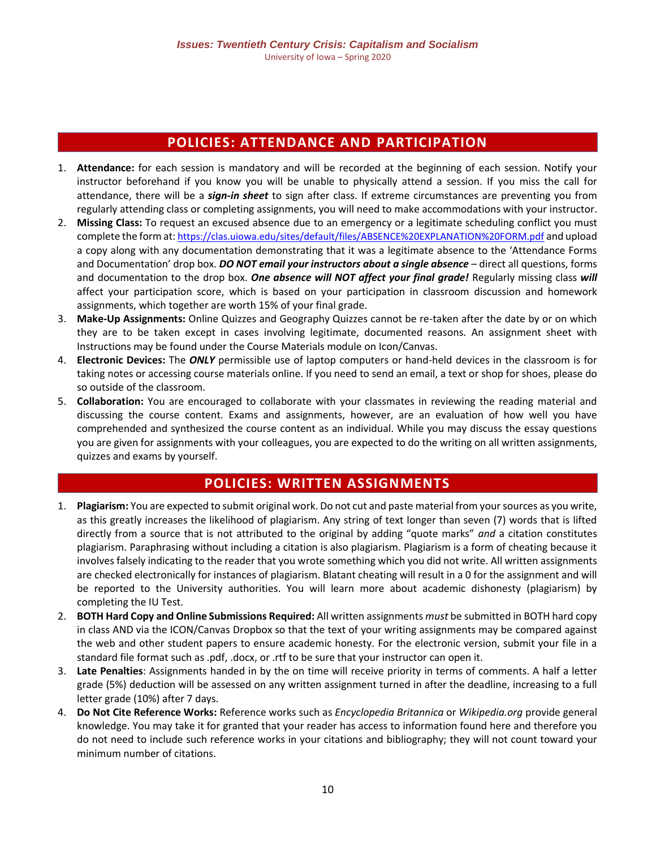## **POLICIES: ATTENDANCE AND PARTICIPATION**

- 1. **Attendance:** for each session is mandatory and will be recorded at the beginning of each session. Notify your instructor beforehand if you know you will be unable to physically attend a session. If you miss the call for attendance, there will be a *sign-in sheet* to sign after class. If extreme circumstances are preventing you from regularly attending class or completing assignments, you will need to make accommodations with your instructor.
- 2. **Missing Class:** To request an excused absence due to an emergency or a legitimate scheduling conflict you must complete the form at: <https://clas.uiowa.edu/sites/default/files/ABSENCE%20EXPLANATION%20FORM.pdf> and upload a copy along with any documentation demonstrating that it was a legitimate absence to the 'Attendance Forms and Documentation' drop box. *DO NOT email your instructors about a single absence* – direct all questions, forms and documentation to the drop box. *One absence will NOT affect your final grade!* Regularly missing class *will*  affect your participation score, which is based on your participation in classroom discussion and homework assignments, which together are worth 15% of your final grade.
- 3. **Make-Up Assignments:** Online Quizzes and Geography Quizzes cannot be re-taken after the date by or on which they are to be taken except in cases involving legitimate, documented reasons. An assignment sheet with Instructions may be found under the Course Materials module on Icon/Canvas.
- 4. **Electronic Devices:** The *ONLY* permissible use of laptop computers or hand-held devices in the classroom is for taking notes or accessing course materials online. If you need to send an email, a text or shop for shoes, please do so outside of the classroom.
- 5. **Collaboration:** You are encouraged to collaborate with your classmates in reviewing the reading material and discussing the course content. Exams and assignments, however, are an evaluation of how well you have comprehended and synthesized the course content as an individual. While you may discuss the essay questions you are given for assignments with your colleagues, you are expected to do the writing on all written assignments, quizzes and exams by yourself.

### **POLICIES: WRITTEN ASSIGNMENTS**

- 1. **Plagiarism:** You are expected to submit original work. Do not cut and paste material from your sources as you write, as this greatly increases the likelihood of plagiarism. Any string of text longer than seven (7) words that is lifted directly from a source that is not attributed to the original by adding "quote marks" *and* a citation constitutes plagiarism. Paraphrasing without including a citation is also plagiarism. Plagiarism is a form of cheating because it involves falsely indicating to the reader that you wrote something which you did not write. All written assignments are checked electronically for instances of plagiarism. Blatant cheating will result in a 0 for the assignment and will be reported to the University authorities. You will learn more about academic dishonesty (plagiarism) by completing the IU Test.
- 2. **BOTH Hard Copy and Online Submissions Required:** All written assignments *must* be submitted in BOTH hard copy in class AND via the ICON/Canvas Dropbox so that the text of your writing assignments may be compared against the web and other student papers to ensure academic honesty. For the electronic version, submit your file in a standard file format such as .pdf, .docx, or .rtf to be sure that your instructor can open it.
- 3. **Late Penalties**: Assignments handed in by the on time will receive priority in terms of comments. A half a letter grade (5%) deduction will be assessed on any written assignment turned in after the deadline, increasing to a full letter grade (10%) after 7 days.
- 4. **Do Not Cite Reference Works:** Reference works such as *Encyclopedia Britannica* or *Wikipedia.org* provide general knowledge. You may take it for granted that your reader has access to information found here and therefore you do not need to include such reference works in your citations and bibliography; they will not count toward your minimum number of citations.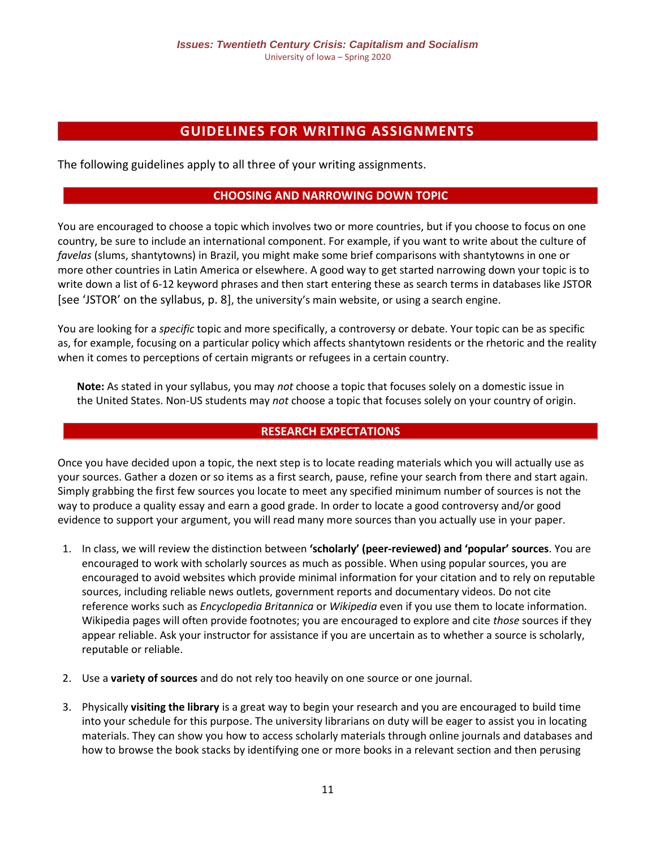## **GUIDELINES FOR WRITING ASSIGNMENTS**

The following guidelines apply to all three of your writing assignments.

#### **CHOOSING AND NARROWING DOWN TOPIC**

You are encouraged to choose a topic which involves two or more countries, but if you choose to focus on one country, be sure to include an international component. For example, if you want to write about the culture of *favelas* (slums, shantytowns) in Brazil, you might make some brief comparisons with shantytowns in one or more other countries in Latin America or elsewhere. A good way to get started narrowing down your topic is to write down a list of 6-12 keyword phrases and then start entering these as search terms in databases like JSTOR [see 'JSTOR' on the syllabus, p. 8], the university's main website, or using a search engine.

You are looking for a *specific* topic and more specifically, a controversy or debate. Your topic can be as specific as, for example, focusing on a particular policy which affects shantytown residents or the rhetoric and the reality when it comes to perceptions of certain migrants or refugees in a certain country.

**Note:** As stated in your syllabus, you may *not* choose a topic that focuses solely on a domestic issue in the United States. Non-US students may *not* choose a topic that focuses solely on your country of origin.

#### **RESEARCH EXPECTATIONS**

Once you have decided upon a topic, the next step is to locate reading materials which you will actually use as your sources. Gather a dozen or so items as a first search, pause, refine your search from there and start again. Simply grabbing the first few sources you locate to meet any specified minimum number of sources is not the way to produce a quality essay and earn a good grade. In order to locate a good controversy and/or good evidence to support your argument, you will read many more sources than you actually use in your paper.

- 1. In class, we will review the distinction between **'scholarly' (peer-reviewed) and 'popular' sources**. You are encouraged to work with scholarly sources as much as possible. When using popular sources, you are encouraged to avoid websites which provide minimal information for your citation and to rely on reputable sources, including reliable news outlets, government reports and documentary videos. Do not cite reference works such as *Encyclopedia Britannica* or *Wikipedia* even if you use them to locate information. Wikipedia pages will often provide footnotes; you are encouraged to explore and cite *those* sources if they appear reliable. Ask your instructor for assistance if you are uncertain as to whether a source is scholarly, reputable or reliable.
- 2. Use a **variety of sources** and do not rely too heavily on one source or one journal.
- 3. Physically **visiting the library** is a great way to begin your research and you are encouraged to build time into your schedule for this purpose. The university librarians on duty will be eager to assist you in locating materials. They can show you how to access scholarly materials through online journals and databases and how to browse the book stacks by identifying one or more books in a relevant section and then perusing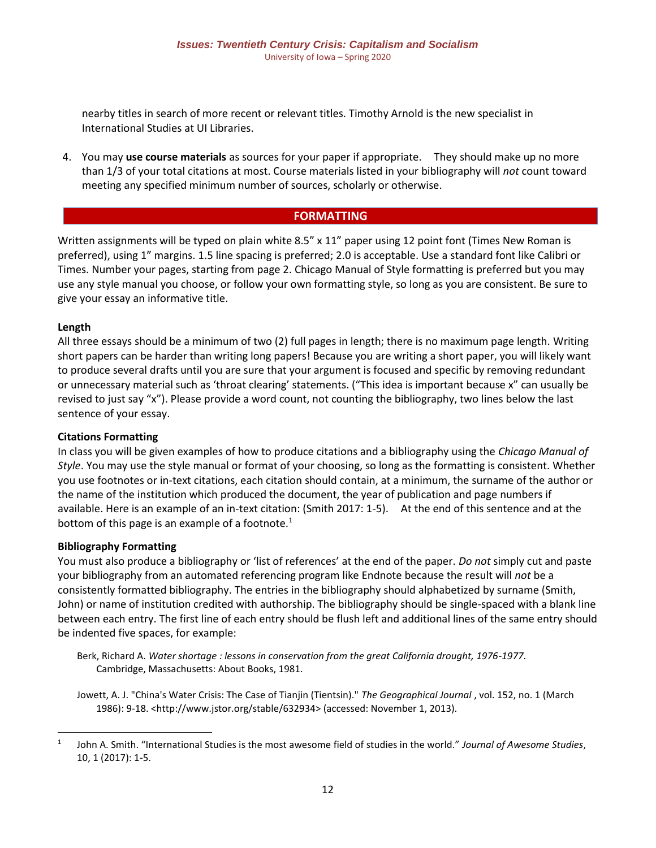nearby titles in search of more recent or relevant titles. Timothy Arnold is the new specialist in International Studies at UI Libraries.

4. You may **use course materials** as sources for your paper if appropriate. They should make up no more than 1/3 of your total citations at most. Course materials listed in your bibliography will *not* count toward meeting any specified minimum number of sources, scholarly or otherwise.

#### **FORMATTING**

Written assignments will be typed on plain white 8.5" x 11" paper using 12 point font (Times New Roman is preferred), using 1" margins. 1.5 line spacing is preferred; 2.0 is acceptable. Use a standard font like Calibri or Times. Number your pages, starting from page 2. Chicago Manual of Style formatting is preferred but you may use any style manual you choose, or follow your own formatting style, so long as you are consistent. Be sure to give your essay an informative title.

#### **Length**

All three essays should be a minimum of two (2) full pages in length; there is no maximum page length. Writing short papers can be harder than writing long papers! Because you are writing a short paper, you will likely want to produce several drafts until you are sure that your argument is focused and specific by removing redundant or unnecessary material such as 'throat clearing' statements. ("This idea is important because x" can usually be revised to just say "x"). Please provide a word count, not counting the bibliography, two lines below the last sentence of your essay.

#### **Citations Formatting**

In class you will be given examples of how to produce citations and a bibliography using the *Chicago Manual of Style*. You may use the style manual or format of your choosing, so long as the formatting is consistent. Whether you use footnotes or in-text citations, each citation should contain, at a minimum, the surname of the author or the name of the institution which produced the document, the year of publication and page numbers if available. Here is an example of an in-text citation: (Smith 2017: 1-5). At the end of this sentence and at the bottom of this page is an example of a footnote. $1$ 

#### **Bibliography Formatting**

 $\overline{a}$ 

You must also produce a bibliography or 'list of references' at the end of the paper. *Do not* simply cut and paste your bibliography from an automated referencing program like Endnote because the result will *not* be a consistently formatted bibliography. The entries in the bibliography should alphabetized by surname (Smith, John) or name of institution credited with authorship. The bibliography should be single-spaced with a blank line between each entry. The first line of each entry should be flush left and additional lines of the same entry should be indented five spaces, for example:

Berk, Richard A. *Water shortage : lessons in conservation from the great California drought, 1976-1977*. Cambridge, Massachusetts: About Books, 1981.

Jowett, A. J. "China's Water Crisis: The Case of Tianjin (Tientsin)." *The Geographical Journal* , vol. 152, no. 1 (March 1986): 9-18. <http://www.jstor.org/stable/632934> (accessed: November 1, 2013).

<sup>1</sup> John A. Smith. "International Studies is the most awesome field of studies in the world." *Journal of Awesome Studies*, 10, 1 (2017): 1-5.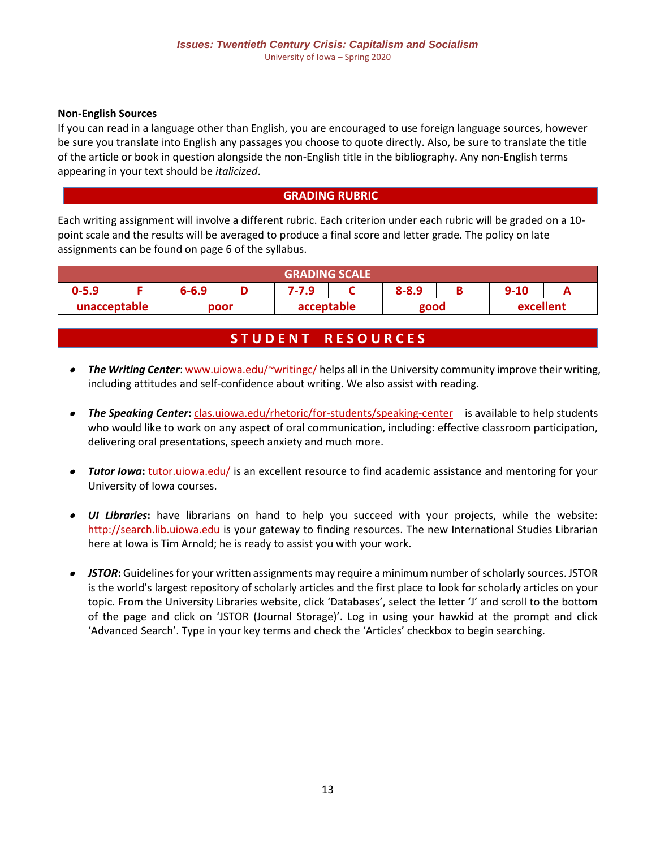#### **Non-English Sources**

If you can read in a language other than English, you are encouraged to use foreign language sources, however be sure you translate into English any passages you choose to quote directly. Also, be sure to translate the title of the article or book in question alongside the non-English title in the bibliography. Any non-English terms appearing in your text should be *italicized*.

#### **GRADING RUBRIC**

Each writing assignment will involve a different rubric. Each criterion under each rubric will be graded on a 10 point scale and the results will be averaged to produce a final score and letter grade. The policy on late assignments can be found on page 6 of the syllabus.

| <b>GRADING SCALE</b> |  |           |      |            |  |           |  |           |  |
|----------------------|--|-----------|------|------------|--|-----------|--|-----------|--|
| $0 - 5.9$            |  | $6 - 6.9$ |      | 7-7.9      |  | $8 - 8.9$ |  | $9 - 10$  |  |
| unacceptable         |  |           | poor | acceptable |  | good      |  | excellent |  |

## **S T U D E N T R E S O U R C E S**

- *The Writing Center*[: www.uiowa.edu/~writingc/](http://www.uiowa.edu/~writingc/) helps all in the University community improve their writing, including attitudes and self-confidence about writing. We also assist with reading.
- **The Speaking Center:** [clas.uiowa.edu/rhetoric/for-students/speaking-center](http://clas.uiowa.edu/rhetoric/for-students/speaking-center) is available to help students who would like to work on any aspect of oral communication, including: effective classroom participation, delivering oral presentations, speech anxiety and much more.
- **Tutor Iowa:** [tutor.uiowa.edu/](http://tutor.uiowa.edu/) is an excellent resource to find academic assistance and mentoring for your University of Iowa courses.
- *UI Libraries***:** have librarians on hand to help you succeed with your projects, while the website: [http://search.lib.uiowa.edu](http://search.lib.uiowa.edu/) is your gateway to finding resources. The new International Studies Librarian here at Iowa is Tim Arnold; he is ready to assist you with your work.
- **JSTOR:** Guidelines for your written assignments may require a minimum number of scholarly sources. JSTOR is the world's largest repository of scholarly articles and the first place to look for scholarly articles on your topic. From the University Libraries website, click 'Databases', select the letter 'J' and scroll to the bottom of the page and click on 'JSTOR (Journal Storage)'. Log in using your hawkid at the prompt and click 'Advanced Search'. Type in your key terms and check the 'Articles' checkbox to begin searching.